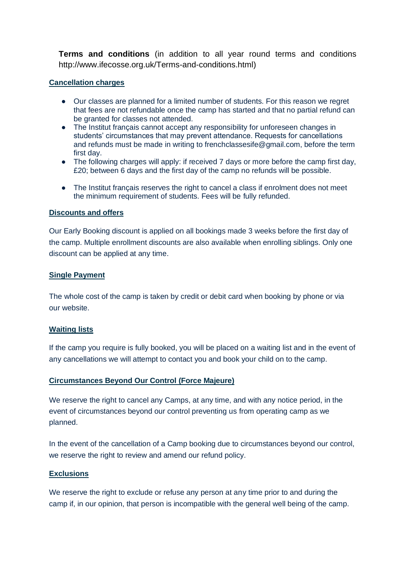**Terms and conditions** (in addition to all year round terms and conditions [http://www.ifecosse.org.uk/Terms-and-conditions.html\)](http://www.ifecosse.org.uk/Terms-and-conditions.html)

# **Cancellation charges**

- Our classes are planned for a limited number of students. For this reason we regret that fees are not refundable once the camp has started and that no partial refund can be granted for classes not attended.
- The Institut français cannot accept any responsibility for unforeseen changes in students' circumstances that may prevent attendance. Requests for cancellations and refunds must be made in writing to frenchclassesife@gmail.com, before the term first day.
- The following charges will apply: if received 7 days or more before the camp first day, £20; between 6 days and the first day of the camp no refunds will be possible.
- The Institut français reserves the right to cancel a class if enrolment does not meet the minimum requirement of students. Fees will be fully refunded.

## **Discounts and offers**

Our Early Booking discount is applied on all bookings made 3 weeks before the first day of the camp. Multiple enrollment discounts are also available when enrolling siblings. Only one discount can be applied at any time.

# **Single Payment**

The whole cost of the camp is taken by credit or debit card when booking by phone or via our website.

# **Waiting lists**

If the camp you require is fully booked, you will be placed on a waiting list and in the event of any cancellations we will attempt to contact you and book your child on to the camp.

# **Circumstances Beyond Our Control (Force Majeure)**

We reserve the right to cancel any Camps, at any time, and with any notice period, in the event of circumstances beyond our control preventing us from operating camp as we planned.

In the event of the cancellation of a Camp booking due to circumstances beyond our control, we reserve the right to review and amend our refund policy.

## **Exclusions**

We reserve the right to exclude or refuse any person at any time prior to and during the camp if, in our opinion, that person is incompatible with the general well being of the camp.